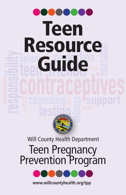# Teen Resource uide



Will County Health Department

# Teen Pregnancy Prevention Program



**www.willcountyhealth.org/tpp**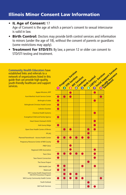#### Illinois Minor Consent Law Information

#### • IL Age of Consent: 17

Age of Consent is the age at which a person's consent to sexual intercourse is valid in law.

- Birth Control: Doctors may provide birth control services and information to minors (under the age of 18), without the consent of parents or guardians (some restrictions may apply).
- Treatment for STD/STI: By law, a person 12 or older can consent to STD/STI testing and treatment.

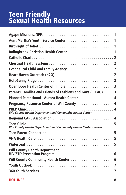# Teen Friendly Sexual Health Resources

| Open Door Health Center of Illinois 3                             |  |
|-------------------------------------------------------------------|--|
| Parents, Families and Friends of Lesbians and Gays (PFLAG)  3     |  |
| Planned Parenthood - Aurora Health Center 4                       |  |
| Pregnancy Resource Center of Will County 4                        |  |
| Will County Health Department and Community Health Center         |  |
|                                                                   |  |
| Will County Health Department and Community Health Center - North |  |
|                                                                   |  |
|                                                                   |  |
|                                                                   |  |
| <b>Will County Health Department</b>                              |  |
| Will County Community Health Center  6                            |  |
|                                                                   |  |
|                                                                   |  |
|                                                                   |  |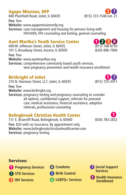#### Agape Missions, NFP

840 Plainfield Road, Joliet, IL 60435 (815) 723-1548 ext. 21 **Fee:** free **Website:** www.agapemissionsnfp.org **Services:** case management and housing for persons living with HIV/AIDS, HIV counseling and testing, general counseling

#### Aunt Martha's Youth Service Center

409 W. Jefferson Street, Joliet, IL 60435 (815) 768-8750<br>101 S. Broadway Street, Aurora, IL 60505 (630) 896-7900 101 S. Broadway Street, Aurora, IL 60505 **Fee:** free **Website:** www.auntmarthas.org **Services:** comprehensive community based youth services, teen pregnancy prevention and health insurance enrollment

#### Birthright of Joliet

310 N. Hammes Street, LL7, Joliet, IL 60435 **Fee:** free **Website:** www.birthright.org **Services:** pregnancy testing and pregnancy counseling to consider all options, confidential support, referrals for prenatal care, medical assistance, financial assistance, adoption referrals, professional counseling

# Bolingbrook Christian Health Center **1**

151 E. Briarcliff Road, Bolingbrook, IL 60440 **Fee:** \$20 with no insurance. By appointment only. **Website:** www.bolingbrookchristianhealthcenter.com **Services:** pregnancy testing

Services:

- **1** Pregnancy Services
- **2 STD Services**
- **3** HIV Services
- **4 Condoms**
- **5** Birth Control
- **6 LGBTQ+ Services**



**8 Health Insurance Enrollment**



$$
(815)\; 725\; 3411
$$

**1 2 3 8**



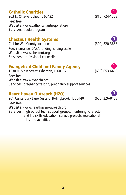**Catholic Charities**<br>203 N. Ottawa, Joliet, IL 60432 **1998 12:00 13:00 14:00 14:00 14:00 14:00 14:00 14:00 14:00 14:00 14:00 14:00** 203 N. Ottawa, Joliet, IL 60432 **Fee:** free **Website:** www.catholiccharitiesjoliet.org **Services:** doula program

# **Chestnut Health Systems**<br>Call for Will County locations **7** (309) 820-3638

Call for Will County locations **Fee:** insurance, DASA funding, sliding scale **Website:** www.chestnut.org **Services:** professional counseling

### Evangelical Child and Family Agency **1**

1530 N. Main Street, Wheaton, IL 60187 (630) 653-6400 **Fee:** free **Website:** www.evancfa.org **Services:** pregnancy testing, pregnancy support services

#### Heart Haven Outreach (H2O) **7**

201 Canterbury Lane, Suite C, Bolingbrook, IL 60440 (630) 226-8403 **Fee:** free **Website:** www.hearthavenoutreach.org **Services:** high school teen support groups, mentoring, character and life skills education, service projects, recreational trips and activities





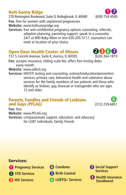**Holt-Sunny Ridge**<br>
270 Remington Boulevard, Suite D, Bolingbrook, IL 60440 (630) 754-4500 270 Remington Boulevard, Suite D, Bolingbrook, IL 60440 **Fee:** free for women with unplanned pregnancies **Website:** www.holtsunnyridge.org

**Services:** free and confidential pregnancy options counseling, referrals, adoption planning, parenting support, speak to a counselor 24/7 at 800-Baby-Mom or text 630-205-5117, counselors can meet at location of your choice

# **Open Door Health Center of Illinois**<br>157 S. Lincoln Avenue. Suite K. Aurora. IL 60505 (630) 264-1819

157 S. Lincoln Avenue, Suite K, Aurora, IL 60505

**Fee:** accepts insurance, sliding scale fee, offers free testing dates every month

**Website:** www.odhcil.org

**Services:** HIV/STI testing and counseling, outreach/education/prevention services, primary care, behavioral health and substance abuse services for the family members of our patients and those who identify as lesbian, gay, bisexual or transgender who are ages 12 and older

#### Parents, Families and Friends of Lesbians **6** and Gays (PFLAG)

**Fee:** free **Website:** www.PFLAG.org **Services:** compassionate support, education, and advocacy for LGBT individuals, family, friends

#### Services:

- **1** Pregnancy Services
- **2 STD Services**
- **3** HIV Services
- **4 Condoms**
- **5** Birth Control
- **6 LGBTQ+ Services**



**8 Health Insurance Enrollment**





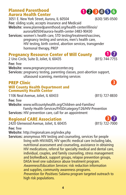# Planned Parenthood **<sup>1</sup> <sup>2</sup> <sup>3</sup> <sup>4</sup> <sup>5</sup> <sup>6</sup>** Aurora Health Center

3051 E. New York Street, Aurora, IL 60504 (630) 585-0500 **Fee:** sliding scale, accepts insurance and Medicaid

**Website:** www.plannedparenthood.org/health-center/illinois/ aurora/60504/aurora-health-center-3483-90430

**Services:** women's health care, STD testing/treatment/vaccines, pregnancy testing and services, men's health care, HIV testing, birth control, abortion services, transgender hormonal therapy, PREP

# **Pregnancy Resource Center of Will County**<br>2 Uno Circle, Suite D. Joliet, IL 60435 (815) 744-7755

2 Uno Circle, Suite D, Joliet, IL 60435 **Fee:** free **Website:** www.pregnancyresourcecenter.org

**Services:** pregnancy testing, parenting classes, post-abortion support, ultasound scanning, mentoring services

#### **PREP Clinic 3** Will County Health Department and Community Health Center

1106 Neal Avenue, Joliet, IL 60433 (815) 727-8830

**Fee:** free **Website:** www.willcountyhealth.org/Children-and-Families/ Family-Health-Services/FHSD/category/126/HIV-Prevention **Services:** HIV prevention care, call for an appointment

# **Regional CARE Association**<br>2420 Glenwood Avenue, Joliet, IL 60435 (815) 722-7000

2420 Glenwood Avenue, Joliet, IL 60435

**Fee:** free **Website:** http://regionalcare.org/index.php

**Services:** anonymous HIV testing and counseling, services for people living with HIV/AIDS, HIV specific medical care including labs, nutritional assessment and counseling, assistance in obtaining HIV medications, referral for specialty medical and dental care, individual, couples, and family counseling, stress management and biofeedback, support groups, relapse prevention groups, DASA level one substance abuse treatment program. Awareness/Education Services: risk reduction information and supplies, community awareness programs. Prevention for Positives: Salama program targeted outreach to high risk populations.









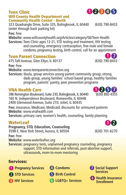## Will County Health Department and Community Health Center - North

323 Quadrangle Drive, Suite 335, Bolingbrook, IL 60440 (630) 790-8433 (enter through back parking lot) **Fee:** free

**Website:** www.willcountyhealth.org/Articles/category/56/Teen-Health **Services:** Teen Clinic-ages 12-21, STD testing and treatment, HIV testing and counseling, emergency contraception, free male and female condoms, pregnancy testing, birth control, call for an appointment

# **Teen Parent Connection**<br>475 Taft Avenue, Glen Ellyn, IL 60137 (630) 790-8433

475 Taft Avenue, Glen Ellyn, IL 60137

**Fee:** free

**Website:** www.teenparentconnection.org

**Services:** doula, group services-young parent community group, strong dads group, young families' school based group, healthy families program, parents' pantry, peer prevention programs

### VNA Health Care

396 Remington Boulevard, Suite 230, Bolingbrook, IL 60440 160 N. Independence Boulevard, Romeoville, IL 60446 2400 Glenwood Avenue, Suite 210, Joliet, IL 60435

**Fee:** insurance, Medicare, Medicaid, discounts for uninsured patients **Website:** www.vnahealth.com

**Services:** primary care, women's health, counseling, family planning

### WaterLeaf **1 2**

**Pregnancy, STD, Education, Counseling** 3598 E. New York Street, Aurora, IL 60504 (630) 701-6270

**Fee:** free

**Website:** www.waterleafwc.org

**Services:** pregnancy tests, unplanned pregnancy counseling, pregnancy support, STD information and referrals, post-abortive support, ultrasounds, mom-to-mom mentoring

#### Services:

- **1** Pregnancy Services
- **2 STD Services**
- **3 HIV Services**
- **4 Condoms**
- **5** Birth Control
- **6 LGBTQ+ Services**









- **7 Social Support Services**
- **8 Health Insurance Enrollment**

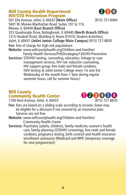#### Will County Health Department **2 3 4** HIV/STD Prevention Program



501 Ella Avenue, Joliet, IL 60433 **(Main Office)** (815) 727-8494 5601 W. Monee-Manhattan Road, Suites 107 to 110, Monee, IL 60449 **(East Branch Office)** 323 Quadrangle Drive, Bolingbrook, IL 60440 **(North Branch Office)** 1215 Houbolt Road, (Building D, Room D1010, Student Activities), Joliet, IL 60431 **(Joliet Junior College Main Campus)** (815) 727-8830 **Fee:** free of charge for high-risk populations **Website:** www.willcountyhealth.org/Children-and-Families/ Family-Health-Services/FHSD/category/126/HIV-Prevention **Services:** STD/HIV testing, counseling, education, linkage to case management services, HIV risk reduction counseling, HIV support group, free male and female condoms. (HIV testing at Joliet Junior College every 1st and 3rd Wednesday of the month from 1-3pm during regular semester hours, call for summer hours.)

#### Will County Community Health Center

1106 Neal Avenue, Joliet, IL 60433 (815) 727-8670

- **Fee:** fees are based on a sliding scale according to income. Some may be eligible for a discount if not covered by an insurance plan. Services are not free.
- **Website:** www.willcountyhealth.org/Children-and-Families/ Community-Health-Center
- **Services:** Psychiatry (adults, children), family medicine, women's health care, family planning (STD/HIV screenings, free male and female condoms, pregnancy testing, birth control) and health insurance enrollment assistance (Medicaid and MPE [temporary coverage for new pregnancies])

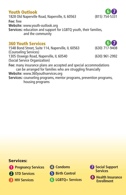**Youth Outlook**<br>
1828 Old Naperville Road, Naperville, IL 60563 (815) 754-5331 1828 Old Naperville Road, Naperville, IL 60563 **Fee:** free **Website:** www.youth-outlook.org **Services:** education and support for LGBTQ youth, their families, and the community

**360 Youth Services**<br>1548 Bond Street, Suite 114, Naperville, IL 60563 (630) 717-9408 1548 Bond Street, Suite 114, Naperville, IL 60563 (Counseling Services) 1305 Oswego Road, Naperville, IL 60540 (630) 961-2992 (Social Service Organization)

**Fee:** many insurance plans are accepted and special accommodations can be arranged for families who are struggling financially **Website:** www.360youthservices.org **Services:** counseling programs, mentor programs, prevention programs, housing programs

Services:

- **1** Pregnancy Services
- **2 STD Services**
- **3 HIV Services**
- **4 Condoms**
- **5** Birth Control
- **6 LGBTQ+ Services**



**8 Health Insurance Enrollment**



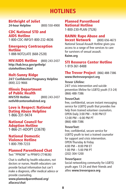## **HOTLINES**

#### Birthright of Joliet

**24-hour Helpline** (800) 550-4900

CDC National STD and AIDS Hotline 1-800-CDC-INFO/1-800-232-4636

#### Emergency Contraception **Hotline**

1-888-NOT2LATE (668-2528)

HIV/AIDS Hotline **(**800) 243-2437 **http://hab.hrsa.gov/gethelp/ statehotlines.html** 

#### Holt-Sunny Ridge

**24/7 Confidential Pregnancy Helpline** (800) 222-9666

#### Illinois Department of Public Health

**HIV/STD Hotline (**800) 243-2437 **nxtlvl@centeronhalsted.org**

#### Love is Respect: National Dating Abuse Helpline 1-866-331-9474

National Council for Adoption Hotline 1-866-21-ADOPT (23678)

#### National Domestic Violence Hotline

1-800-799-7233

#### Planned Parenthood Chat

Text "PPNOW" to PPINFO (774636)

Chat is staffed by health educators, not doctors or nurses. Health educators can provide factual information but can't make a diagnosis, offer medical advice or provide counseling**.** 

**www.plannedparenthood.org/ allacess/chat**

#### Planned Parenthood National Hotline

1-800-230-PLAN (7526)

#### RAINN: Rape Abuse and Incest Network **(**800) 656-4673

National Sexual Assault Hotline gives you access to a range of free services to care for survivors of sexual assault. **Rainn.org** 

STI Resource Center Hotline 1-919-361-8488

#### The Trevor Project (866) 488-7386 **www.thetrevorproject.org**

#### **Trevor Lifeline:**

24/7 crisis intervention and suicide prevention lifeline for LGBTQ youth (13-24) (866) 488-7386

#### **TrevorChat:**

free, confidential, secure instant messaging service for LGBTQ youth that provides live help from trained volunteer counselors. OPEN Daily 3:00 PM – 9:00 PM ET 12:00 PM – 6:00 PM PT (866) 488-7386

#### **TrevorText:**

free, confidential, secure service for LGBTQ youth to text a trained counselor for support and crisis intervention. OPEN Thursday & Friday 4:00 PM – 8:00 PM ET 1:00 PM – 5:00 PM PT (202) 304-1200

#### **TrevorSpace:**

Social networking community for LGBTQ youth ages 13-24 and their friends and allies **www.trevorspace.org**